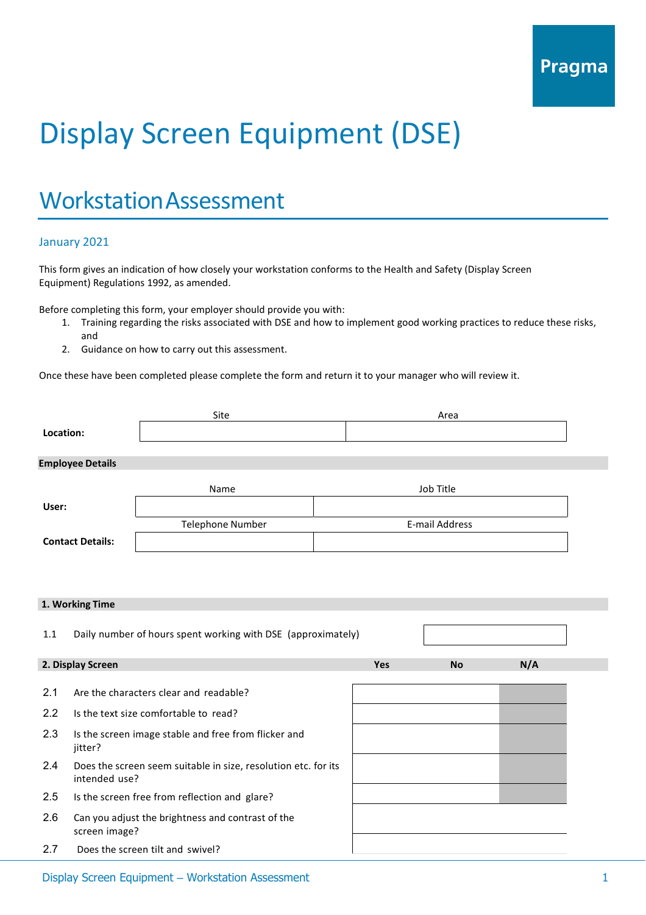# Display Screen Equipment (DSE)

### WorkstationAssessment

#### January 2021

This form gives an indication of how closely your workstation conforms to the Health and Safety (Display Screen Equipment) Regulations 1992, as amended.

Before completing this form, your employer should provide you with:

- 1. Training regarding the risks associated with DSE and how to implement good working practices to reduce these risks, and
- 2. Guidance on how to carry out this assessment.

Once these have been completed please complete the form and return it to your manager who will review it.

| Location:               |                                                                                 | Site                                                         |                       |           | Area      |     |
|-------------------------|---------------------------------------------------------------------------------|--------------------------------------------------------------|-----------------------|-----------|-----------|-----|
|                         | <b>Employee Details</b>                                                         |                                                              |                       |           |           |     |
|                         |                                                                                 | Name                                                         |                       | Job Title |           |     |
| User:                   |                                                                                 |                                                              |                       |           |           |     |
|                         |                                                                                 | <b>Telephone Number</b>                                      | <b>E-mail Address</b> |           |           |     |
| <b>Contact Details:</b> |                                                                                 |                                                              |                       |           |           |     |
|                         |                                                                                 |                                                              |                       |           |           |     |
|                         | 1. Working Time                                                                 |                                                              |                       |           |           |     |
| 1.1                     |                                                                                 | Daily number of hours spent working with DSE (approximately) |                       |           |           |     |
|                         | 2. Display Screen                                                               |                                                              | Yes                   |           | <b>No</b> | N/A |
| 2.1                     |                                                                                 | Are the characters clear and readable?                       |                       |           |           |     |
| 2.2                     | Is the text size comfortable to read?                                           |                                                              |                       |           |           |     |
| 2.3                     | Is the screen image stable and free from flicker and<br>jitter?                 |                                                              |                       |           |           |     |
| 2.4                     | Does the screen seem suitable in size, resolution etc. for its<br>intended use? |                                                              |                       |           |           |     |
| 2.5                     |                                                                                 | Is the screen free from reflection and glare?                |                       |           |           |     |
| 2.6                     | screen image?                                                                   | Can you adjust the brightness and contrast of the            |                       |           |           |     |
| 2.7                     |                                                                                 | Does the screen tilt and swivel?                             |                       |           |           |     |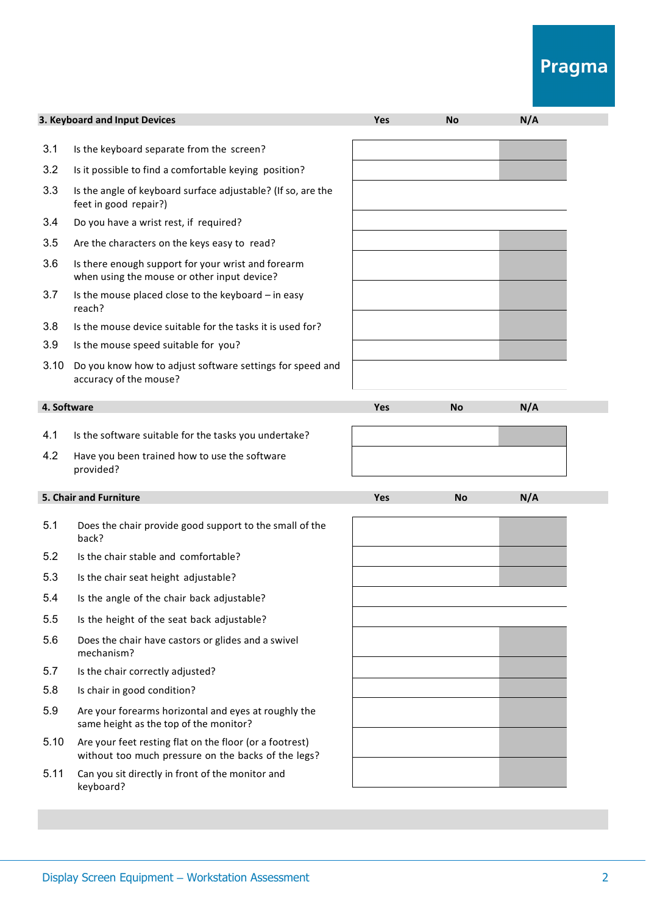## Pragma

|             | 3. Keyboard and Input Devices                                                                                  | Yes | <b>No</b> | N/A |
|-------------|----------------------------------------------------------------------------------------------------------------|-----|-----------|-----|
| 3.1         | Is the keyboard separate from the screen?                                                                      |     |           |     |
| 3.2         | Is it possible to find a comfortable keying position?                                                          |     |           |     |
| 3.3         | Is the angle of keyboard surface adjustable? (If so, are the<br>feet in good repair?)                          |     |           |     |
| 3.4         | Do you have a wrist rest, if required?                                                                         |     |           |     |
| 3.5         | Are the characters on the keys easy to read?                                                                   |     |           |     |
| 3.6         | Is there enough support for your wrist and forearm<br>when using the mouse or other input device?              |     |           |     |
| 3.7         | Is the mouse placed close to the keyboard - in easy<br>reach?                                                  |     |           |     |
| 3.8         | Is the mouse device suitable for the tasks it is used for?                                                     |     |           |     |
| 3.9         | Is the mouse speed suitable for you?                                                                           |     |           |     |
| 3.10        | Do you know how to adjust software settings for speed and<br>accuracy of the mouse?                            |     |           |     |
| 4. Software |                                                                                                                | Yes | <b>No</b> | N/A |
| 4.1         | Is the software suitable for the tasks you undertake?                                                          |     |           |     |
|             |                                                                                                                |     |           |     |
| 4.2         | Have you been trained how to use the software<br>provided?                                                     |     |           |     |
|             | 5. Chair and Furniture                                                                                         | Yes | <b>No</b> | N/A |
| 5.1         | Does the chair provide good support to the small of the<br>back?                                               |     |           |     |
| 5.2         | Is the chair stable and comfortable?                                                                           |     |           |     |
| 5.3         | Is the chair seat height adjustable?                                                                           |     |           |     |
| 5.4         | Is the angle of the chair back adjustable?                                                                     |     |           |     |
| 5.5         | Is the height of the seat back adjustable?                                                                     |     |           |     |
| 5.6         | Does the chair have castors or glides and a swivel<br>mechanism?                                               |     |           |     |
| 5.7         | Is the chair correctly adjusted?                                                                               |     |           |     |
| 5.8         | Is chair in good condition?                                                                                    |     |           |     |
| 5.9         | Are your forearms horizontal and eyes at roughly the<br>same height as the top of the monitor?                 |     |           |     |
| 5.10        | Are your feet resting flat on the floor (or a footrest)<br>without too much pressure on the backs of the legs? |     |           |     |
| 5.11        | Can you sit directly in front of the monitor and<br>keyboard?                                                  |     |           |     |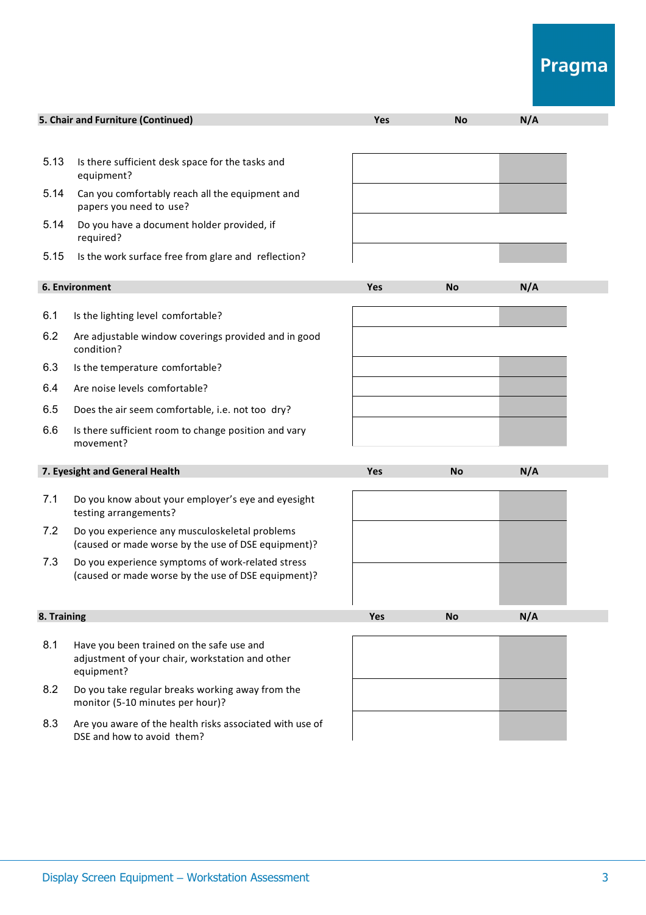## Pragma

| 5. Chair and Furniture (Continued)<br>N/A<br><b>Yes</b><br><b>No</b><br>Is there sufficient desk space for the tasks and<br>equipment?<br>Can you comfortably reach all the equipment and<br>papers you need to use?<br>Do you have a document holder provided, if<br>required?<br>Is the work surface free from glare and reflection?<br>6. Environment<br>N/A<br><b>Yes</b><br><b>No</b><br>Is the lighting level comfortable?<br>Are adjustable window coverings provided and in good<br>condition?<br>Is the temperature comfortable?<br>Are noise levels comfortable?<br>Does the air seem comfortable, i.e. not too dry?<br>Is there sufficient room to change position and vary<br>movement?<br>7. Eyesight and General Health<br>N/A<br><b>Yes</b><br><b>No</b><br>Do you know about your employer's eye and eyesight<br>testing arrangements?<br>Do you experience any musculoskeletal problems<br>(caused or made worse by the use of DSE equipment)?<br>Do you experience symptoms of work-related stress<br>(caused or made worse by the use of DSE equipment)?<br>8. Training<br>N/A<br>Yes<br><b>No</b><br>Have you been trained on the safe use and<br>adjustment of your chair, workstation and other<br>equipment?<br>Do you take regular breaks working away from the<br>monitor (5-10 minutes per hour)?<br>8.3<br>Are you aware of the health risks associated with use of<br>DSE and how to avoid them? |      |  |  |
|------------------------------------------------------------------------------------------------------------------------------------------------------------------------------------------------------------------------------------------------------------------------------------------------------------------------------------------------------------------------------------------------------------------------------------------------------------------------------------------------------------------------------------------------------------------------------------------------------------------------------------------------------------------------------------------------------------------------------------------------------------------------------------------------------------------------------------------------------------------------------------------------------------------------------------------------------------------------------------------------------------------------------------------------------------------------------------------------------------------------------------------------------------------------------------------------------------------------------------------------------------------------------------------------------------------------------------------------------------------------------------------------------------------------------|------|--|--|
|                                                                                                                                                                                                                                                                                                                                                                                                                                                                                                                                                                                                                                                                                                                                                                                                                                                                                                                                                                                                                                                                                                                                                                                                                                                                                                                                                                                                                              |      |  |  |
|                                                                                                                                                                                                                                                                                                                                                                                                                                                                                                                                                                                                                                                                                                                                                                                                                                                                                                                                                                                                                                                                                                                                                                                                                                                                                                                                                                                                                              |      |  |  |
|                                                                                                                                                                                                                                                                                                                                                                                                                                                                                                                                                                                                                                                                                                                                                                                                                                                                                                                                                                                                                                                                                                                                                                                                                                                                                                                                                                                                                              | 5.13 |  |  |
|                                                                                                                                                                                                                                                                                                                                                                                                                                                                                                                                                                                                                                                                                                                                                                                                                                                                                                                                                                                                                                                                                                                                                                                                                                                                                                                                                                                                                              | 5.14 |  |  |
|                                                                                                                                                                                                                                                                                                                                                                                                                                                                                                                                                                                                                                                                                                                                                                                                                                                                                                                                                                                                                                                                                                                                                                                                                                                                                                                                                                                                                              | 5.14 |  |  |
|                                                                                                                                                                                                                                                                                                                                                                                                                                                                                                                                                                                                                                                                                                                                                                                                                                                                                                                                                                                                                                                                                                                                                                                                                                                                                                                                                                                                                              | 5.15 |  |  |
|                                                                                                                                                                                                                                                                                                                                                                                                                                                                                                                                                                                                                                                                                                                                                                                                                                                                                                                                                                                                                                                                                                                                                                                                                                                                                                                                                                                                                              |      |  |  |
|                                                                                                                                                                                                                                                                                                                                                                                                                                                                                                                                                                                                                                                                                                                                                                                                                                                                                                                                                                                                                                                                                                                                                                                                                                                                                                                                                                                                                              | 6.1  |  |  |
|                                                                                                                                                                                                                                                                                                                                                                                                                                                                                                                                                                                                                                                                                                                                                                                                                                                                                                                                                                                                                                                                                                                                                                                                                                                                                                                                                                                                                              | 6.2  |  |  |
|                                                                                                                                                                                                                                                                                                                                                                                                                                                                                                                                                                                                                                                                                                                                                                                                                                                                                                                                                                                                                                                                                                                                                                                                                                                                                                                                                                                                                              | 6.3  |  |  |
|                                                                                                                                                                                                                                                                                                                                                                                                                                                                                                                                                                                                                                                                                                                                                                                                                                                                                                                                                                                                                                                                                                                                                                                                                                                                                                                                                                                                                              | 6.4  |  |  |
|                                                                                                                                                                                                                                                                                                                                                                                                                                                                                                                                                                                                                                                                                                                                                                                                                                                                                                                                                                                                                                                                                                                                                                                                                                                                                                                                                                                                                              | 6.5  |  |  |
|                                                                                                                                                                                                                                                                                                                                                                                                                                                                                                                                                                                                                                                                                                                                                                                                                                                                                                                                                                                                                                                                                                                                                                                                                                                                                                                                                                                                                              | 6.6  |  |  |
|                                                                                                                                                                                                                                                                                                                                                                                                                                                                                                                                                                                                                                                                                                                                                                                                                                                                                                                                                                                                                                                                                                                                                                                                                                                                                                                                                                                                                              |      |  |  |
|                                                                                                                                                                                                                                                                                                                                                                                                                                                                                                                                                                                                                                                                                                                                                                                                                                                                                                                                                                                                                                                                                                                                                                                                                                                                                                                                                                                                                              | 7.1  |  |  |
|                                                                                                                                                                                                                                                                                                                                                                                                                                                                                                                                                                                                                                                                                                                                                                                                                                                                                                                                                                                                                                                                                                                                                                                                                                                                                                                                                                                                                              | 7.2  |  |  |
|                                                                                                                                                                                                                                                                                                                                                                                                                                                                                                                                                                                                                                                                                                                                                                                                                                                                                                                                                                                                                                                                                                                                                                                                                                                                                                                                                                                                                              | 7.3  |  |  |
|                                                                                                                                                                                                                                                                                                                                                                                                                                                                                                                                                                                                                                                                                                                                                                                                                                                                                                                                                                                                                                                                                                                                                                                                                                                                                                                                                                                                                              |      |  |  |
|                                                                                                                                                                                                                                                                                                                                                                                                                                                                                                                                                                                                                                                                                                                                                                                                                                                                                                                                                                                                                                                                                                                                                                                                                                                                                                                                                                                                                              | 8.1  |  |  |
|                                                                                                                                                                                                                                                                                                                                                                                                                                                                                                                                                                                                                                                                                                                                                                                                                                                                                                                                                                                                                                                                                                                                                                                                                                                                                                                                                                                                                              | 8.2  |  |  |
|                                                                                                                                                                                                                                                                                                                                                                                                                                                                                                                                                                                                                                                                                                                                                                                                                                                                                                                                                                                                                                                                                                                                                                                                                                                                                                                                                                                                                              |      |  |  |